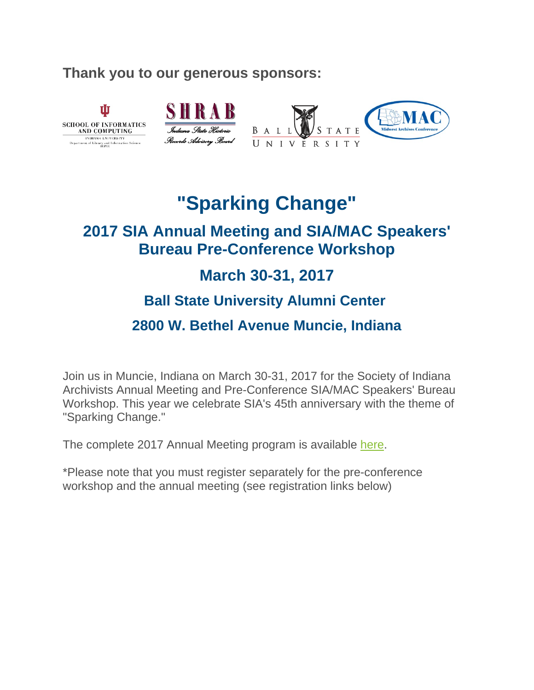#### **Thank you to our generous sponsors:**

Ŵ



# **"Sparking Change"**

# **2017 SIA Annual Meeting and SIA/MAC Speakers' Bureau Pre-Conference Workshop**

# **March 30-31, 2017**

### **Ball State University Alumni Center**

### **2800 W. Bethel Avenue Muncie, Indiana**

Join us in Muncie, Indiana on March 30-31, 2017 for the Society of Indiana Archivists Annual Meeting and Pre-Conference SIA/MAC Speakers' Bureau Workshop. This year we celebrate SIA's 45th anniversary with the theme of "Sparking Change."

The complete 2017 Annual Meeting program is available [here.](https://societyofindianaarchivists.wildapricot.org/resources/Documents/Administrative/Annual%20Meetings/Programs/AnnualMeeting_2017.pdf)

\*Please note that you must register separately for the pre-conference workshop and the annual meeting (see registration links below)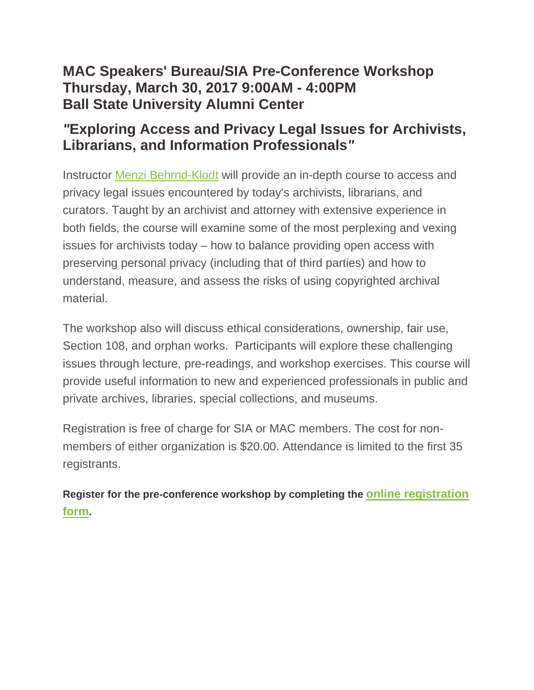### **MAC Speakers' Bureau/SIA Pre-Conference Workshop Thursday, March 30, 2017 9:00AM - 4:00PM Ball State University Alumni Center**

### *"***Exploring Access and Privacy Legal Issues for Archivists, Librarians, and Information Professionals***"*

Instructor [Menzi Behrnd-Klodt](http://www2.archivists.org/prof-education/faculty/menzi-behrnd-klodt) will provide an in-depth course to access and privacy legal issues encountered by today's archivists, librarians, and curators. Taught by an archivist and attorney with extensive experience in both fields, the course will examine some of the most perplexing and vexing issues for archivists today – how to balance providing open access with preserving personal privacy (including that of third parties) and how to understand, measure, and assess the risks of using copyrighted archival material.

The workshop also will discuss ethical considerations, ownership, fair use, Section 108, and orphan works. Participants will explore these challenging issues through lecture, pre-readings, and workshop exercises. This course will provide useful information to new and experienced professionals in public and private archives, libraries, special collections, and museums.

Registration is free of charge for SIA or MAC members. The cost for nonmembers of either organization is \$20.00. Attendance is limited to the first 35 registrants.

**Register for the pre-conference workshop by completing the [online registration](https://societyofindianaarchivists.wildapricot.org/event-2445296)  [form.](https://societyofindianaarchivists.wildapricot.org/event-2445296)**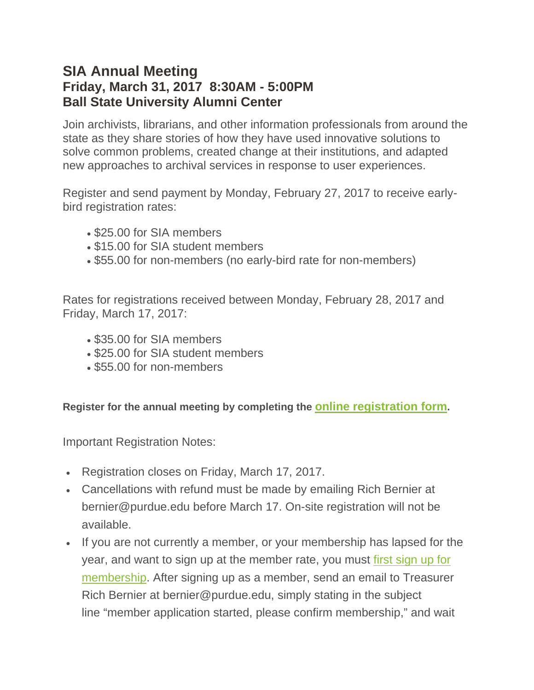#### **SIA Annual Meeting Friday, March 31, 2017 8:30AM - 5:00PM Ball State University Alumni Center**

Join archivists, librarians, and other information professionals from around the state as they share stories of how they have used innovative solutions to solve common problems, created change at their institutions, and adapted new approaches to archival services in response to user experiences.

Register and send payment by Monday, February 27, 2017 to receive earlybird registration rates:

- \$25.00 for SIA members
- \$15.00 for SIA student members
- \$55.00 for non-members (no early-bird rate for non-members)

Rates for registrations received between Monday, February 28, 2017 and Friday, March 17, 2017:

- \$35.00 for SIA members
- \$25.00 for SIA student members
- \$55.00 for non-members

**Register for the annual meeting by completing the [online registration form.](https://societyofindianaarchivists.wildapricot.org/event-2445185)**

Important Registration Notes:

- Registration closes on Friday, March 17, 2017.
- Cancellations with refund must be made by emailing Rich Bernier at bernier@purdue.edu before March 17. On-site registration will not be available.
- If you are not currently a member, or your membership has lapsed for the year, and want to sign up at the member rate, you must [first sign up for](https://societyofindianaarchivists.wildapricot.org/membership)  [membership.](https://societyofindianaarchivists.wildapricot.org/membership) After signing up as a member, send an email to Treasurer Rich Bernier at bernier@purdue.edu, simply stating in the subject line "member application started, please confirm membership," and wait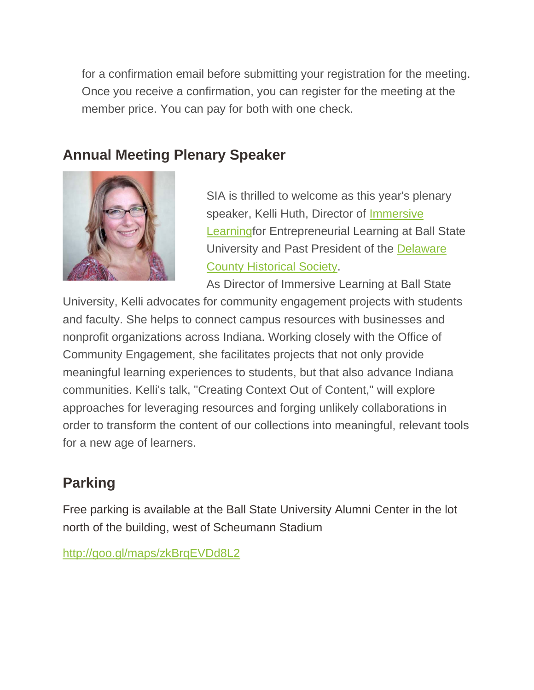for a confirmation email before submitting your registration for the meeting. Once you receive a confirmation, you can register for the meeting at the member price. You can pay for both with one check.

# **Annual Meeting Plenary Speaker**



SIA is thrilled to welcome as this year's plenary speaker, Kelli Huth, Director of [Immersive](http://cms.bsu.edu/about/administrativeoffices/entrepreneurial-learning)  [Learningf](http://cms.bsu.edu/about/administrativeoffices/entrepreneurial-learning)or Entrepreneurial Learning at Ball State University and Past President of the [Delaware](http://www.delawarecountyhistory.org/)  [County Historical Society.](http://www.delawarecountyhistory.org/)

As Director of Immersive Learning at Ball State

University, Kelli advocates for community engagement projects with students and faculty. She helps to connect campus resources with businesses and nonprofit organizations across Indiana. Working closely with the Office of Community Engagement, she facilitates projects that not only provide meaningful learning experiences to students, but that also advance Indiana communities. Kelli's talk, "Creating Context Out of Content," will explore approaches for leveraging resources and forging unlikely collaborations in order to transform the content of our collections into meaningful, relevant tools for a new age of learners.

# **Parking**

Free parking is available at the Ball State University Alumni Center in the lot north of the building, west of Scheumann Stadium

<http://goo.gl/maps/zkBrqEVDd8L2>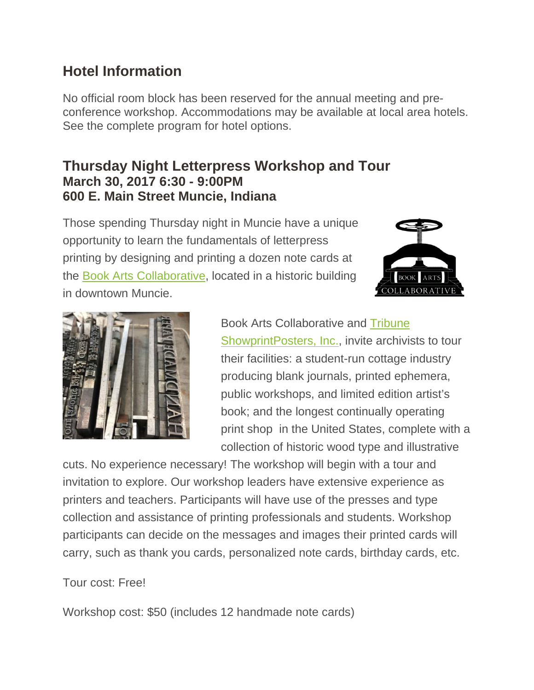# **Hotel Information**

No official room block has been reserved for the annual meeting and preconference workshop. Accommodations may be available at local area hotels. See the complete program for hotel options.

#### **Thursday Night Letterpress Workshop and Tour March 30, 2017 6:30 - 9:00PM 600 E. Main Street Muncie, Indiana**

Those spending Thursday night in Muncie have a unique opportunity to learn the fundamentals of letterpress printing by designing and printing a dozen note cards at the [Book Arts Collaborative,](http://www.bookartscollaborative.com/) located in a historic building in downtown Muncie.





Book Arts Collaborative and [Tribune](http://www.tribune-showprint.com/)  [ShowprintPosters, Inc.,](http://www.tribune-showprint.com/) invite archivists to tour their facilities: a student-run cottage industry producing blank journals, printed ephemera, public workshops, and limited edition artist's book; and the longest continually operating print shop in the United States, complete with a collection of historic wood type and illustrative

cuts. No experience necessary! The workshop will begin with a tour and invitation to explore. Our workshop leaders have extensive experience as printers and teachers. Participants will have use of the presses and type collection and assistance of printing professionals and students. Workshop participants can decide on the messages and images their printed cards will carry, such as thank you cards, personalized note cards, birthday cards, etc.

#### Tour cost: Free!

Workshop cost: \$50 (includes 12 handmade note cards)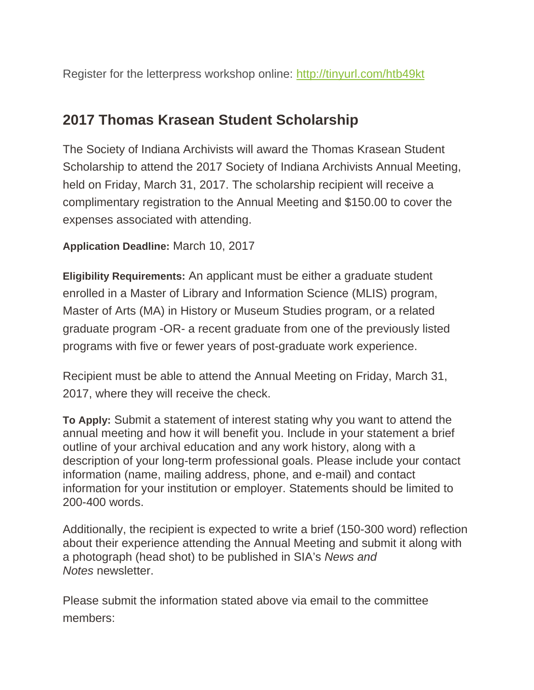Register for the letterpress workshop online: <http://tinyurl.com/htb49kt>

### **2017 Thomas Krasean Student Scholarship**

The Society of Indiana Archivists will award the Thomas Krasean Student Scholarship to attend the 2017 Society of Indiana Archivists Annual Meeting, held on Friday, March 31, 2017. The scholarship recipient will receive a complimentary registration to the Annual Meeting and \$150.00 to cover the expenses associated with attending.

**Application Deadline:** March 10, 2017

**Eligibility Requirements:** An applicant must be either a graduate student enrolled in a Master of Library and Information Science (MLIS) program, Master of Arts (MA) in History or Museum Studies program, or a related graduate program -OR- a recent graduate from one of the previously listed programs with five or fewer years of post-graduate work experience.

Recipient must be able to attend the Annual Meeting on Friday, March 31, 2017, where they will receive the check.

**To Apply:** Submit a statement of interest stating why you want to attend the annual meeting and how it will benefit you. Include in your statement a brief outline of your archival education and any work history, along with a description of your long-term professional goals. Please include your contact information (name, mailing address, phone, and e-mail) and contact information for your institution or employer. Statements should be limited to 200-400 words.

Additionally, the recipient is expected to write a brief (150-300 word) reflection about their experience attending the Annual Meeting and submit it along with a photograph (head shot) to be published in SIA's *News and Notes* newsletter.

Please submit the information stated above via email to the committee members: